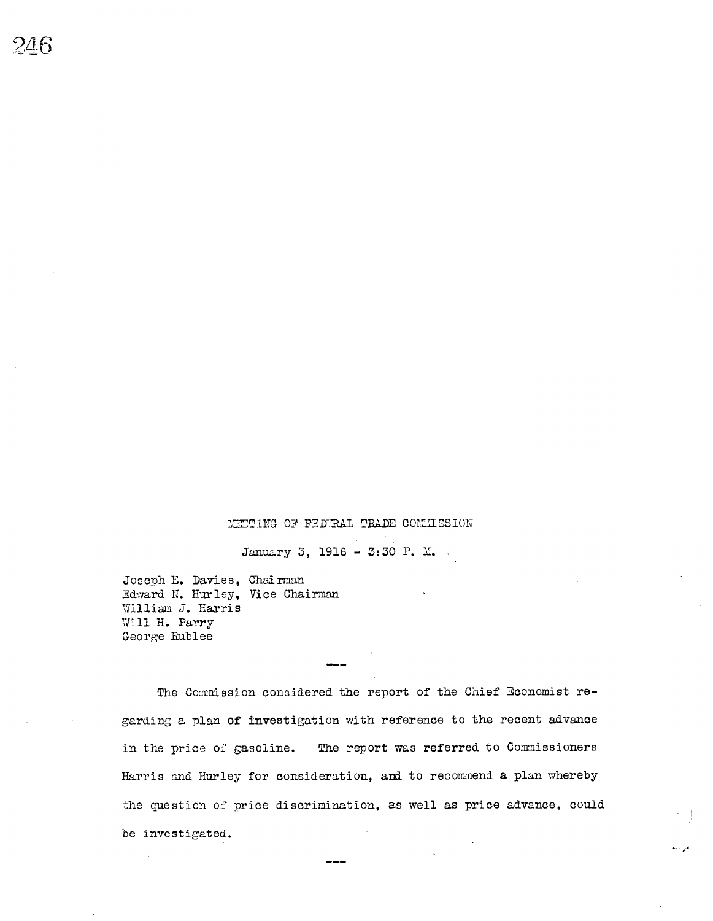## MEETING OF FEDERAL TRADE COMMISSION

January 3, 1916 - 3:30 P. M.

Joseph E. Davies, Chairman Edward N. Hurley, Vice Chairman William J. Harris Will H. Parry George Rublee

The Commission considered the report of the Chief Economist regarding a plan of investigation with reference to the recent advance in the price of gasoline. The report was referred to Commissioners Harris and Hurley for consideration, and to recommend a plan whereby the question of price discrimination, as well as price advance, could be investigated.

فراده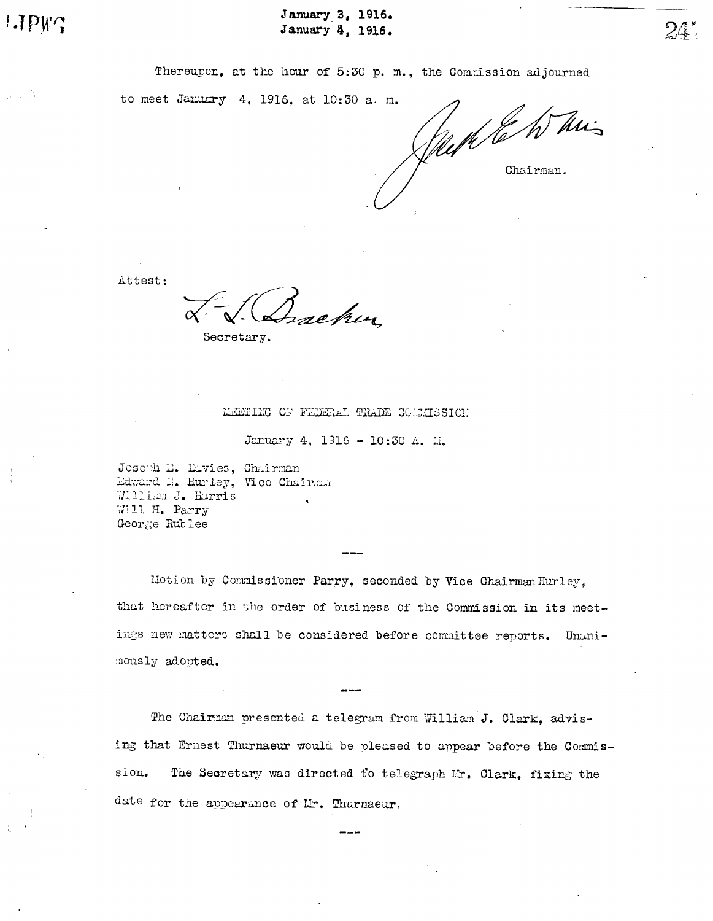January 3, 1916. January 4, 1916.

Thereupon, at the hour of 5:30 p. m., the Commission adjourned

to meet January 4, 1916, at 10:30 a.m. Week to his Chairman.

Attest:

Secretary.

MEMING OF FEDERAL TRADE COLLISSION

January 4, 1916 - 10:30 A. M.

Joseph D. Divies, Chairman Edward N. Hurley, Vice Chairman William J. Harris Will H. Parry George Rublee

Motion by Commissioner Parry, seconded by Vice Chairman Hurley. that hereafter in the order of business of the Commission in its meetings new matters shall be considered before committee reports. Unanimously adopted.

The Chairman presented a telegram from William J. Clark, advising that Ernest Thurnaeur would be pleased to appear before the Commission. The Secretary was directed to telegraph Mr. Clark, fixing the date for the appearance of Mr. Thurnaeur.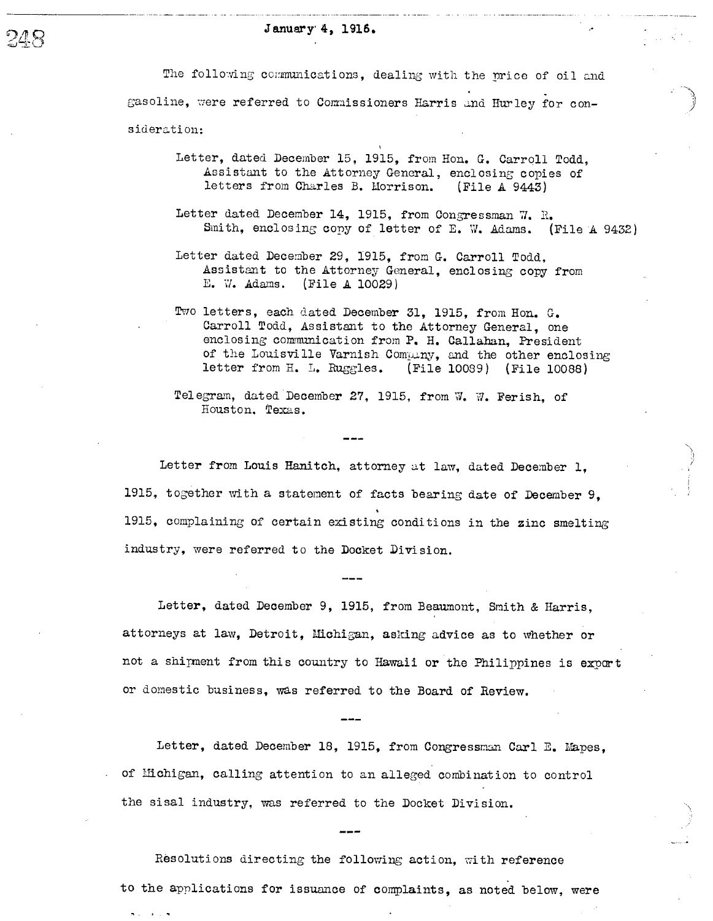### January 4, 1916.

າທ 48

> The following communications, dealing with the price of oil and gasoline, were referred to Commissioners Harris and Hurley for consideration:

- Letter, dated December 15, 1915, from Hon. G. Carroll Todd Assi stant to the Attorney General, enclosing copies of letters from Charles B. Uorrison. (File A 9443)
- Letter dated December 14, 1915, from Congressman 7. R. Smith, enclosing copy of letter of E. W. Adams. (File A 9432)
- Letter dated December 29, 1915, from G. Carroll Todd. Assistant to the Attorney General, enclosing copy from E. W. Adams. (File A 10029)
- Two letters, each dated December 31, 1915, from Hon. G. Carroll Todd, Assistant to the Attorney General, one enclosing communication from P. H. Callahan, President of the Louisville Varnish Company, and the other enclosing<br>letter from H. L. Ruggles. (File 10089) (File 10088) (File 10089) (File 10088)
- Tel egram, dated December 27, 1915, from W. W. Ferish, of Houston. Texas.

Letter from Louis Hanitch, attorney at law, dated December 1. 1915, together with a statement of facts bearing date of December 9, 1915, complaining of certain existing condi tions in the zinc smelting industry, were referred to the Docket Division.

Letter, dated December 9, 1915, from Beaumont, Smith & Harris, attorneys at law, Detroit, Michigan, asking advice as to whether or not a shipment from this country to Hawaii or the Philippines is export or domestic business, was referred to the Board of Review.

Letter, dated December 18, 1915, from Congressman Carl E. Mapes. of Michigan, calling attention to an alleged combination to control the sisal industry, was referred to the Docket Division.

Resolutions directing the following action, with reference to the applications for issuance of complaints, as noted below, were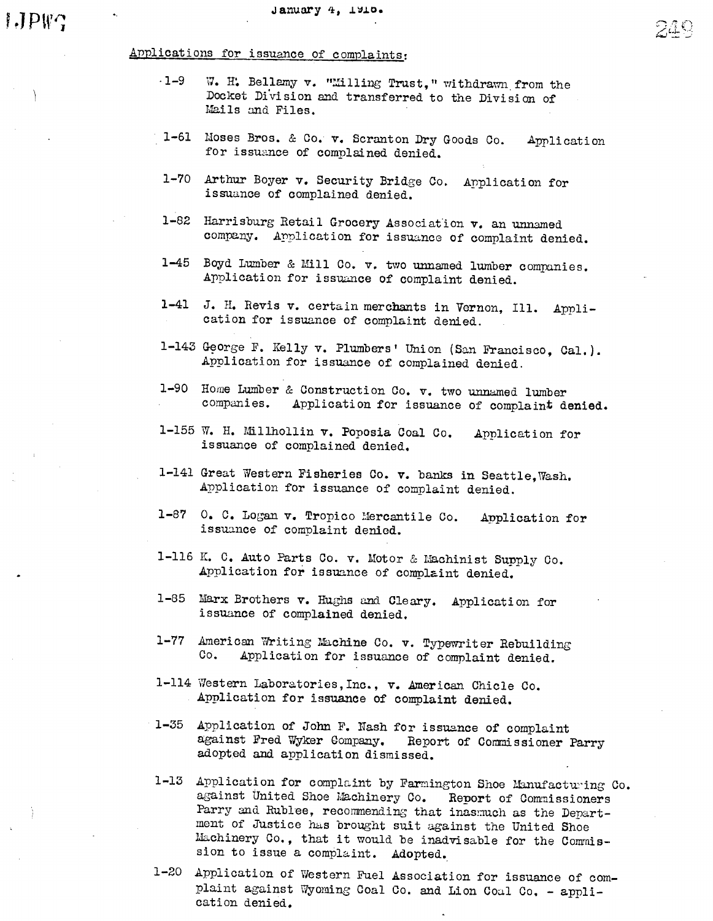# Applications for issuance of complaints

- $-1 9$ W. H. Bellamy v. "Milling Trust," withdrawn from the Docket Division and transferred to the Division of ils and Files.
- 1-61 Moses Bros. & Co. v. Scranton Dry Goods Co. Application<br>for issuance of complained denied.
- Arthur Boyer v. Security Bridge Co. Application for issuance of complained denied.
- $1-82$  Harrisburg Retail Grocery Association  $v$ . an unnamed company. Application for issuance of complaint denied.
- 1-45 Boyd Lumber & Mill Co. v. two unamed lumber companies. Application for issuance of complaint denied.
- J. H. Revis v. certain merchants in Vernon, Ill. Application for issuance of complaint denied.
- 1-143 George F. Kelly v. Plumbers' Union (San Francisco, Cal.).<br>Application for issuance of complained denied.
- 1-90 Home Lumber & Construction Co. v. two unnamed lumber companies. Application for issuance of complaint denied.
- 155 W. H. Millhollin v. Poposia Coal Co. issuance of complained denied. Application for
- 1-141 Great Western Fisheries Co. v. banks in Seattle, Wash. .Application for issuance of complaint denied.
- 0. C. Logan v. Tropico Mercantile Co. Application for issuance of complaint denied.
- 1-116 K. C. Auto Parts Co. v. Motor & Machinist Supply Co. Application for issuance of complaint denied.
- Marx Brothers v. Hughs and Cleary. Application for issuance of complained denied.
- 1-77 American Writing Machine Co. v. Typewriter Rebuilding Co. Application for issuance of complaint denied.
- 1-114 Western Laboratories, Inc., v. American Chicle Co. Application for issuance of complaint denied.
- 1-35 Application of John F. Nash for issuance of complaint against Fred Wyker Gompany. Report of Commssioner Parry adopted and application dismissed.
- 1-13 Application for complaint by Farmington Shoe Manufacturing Co. against United Shoe Machinery Co. Report of Commissioners Parry and Rublee, recommending that inasmuch as the Department of Justice has brought suit against the United Shoe Machinery Co., that it would be inadvisable for the Commission to issue a complaint. Adopted.
- 1-20 Application of Western Fuel Association for issuance of complaint against Wyoming Coal Co. and Lion Coal Co. - application denied.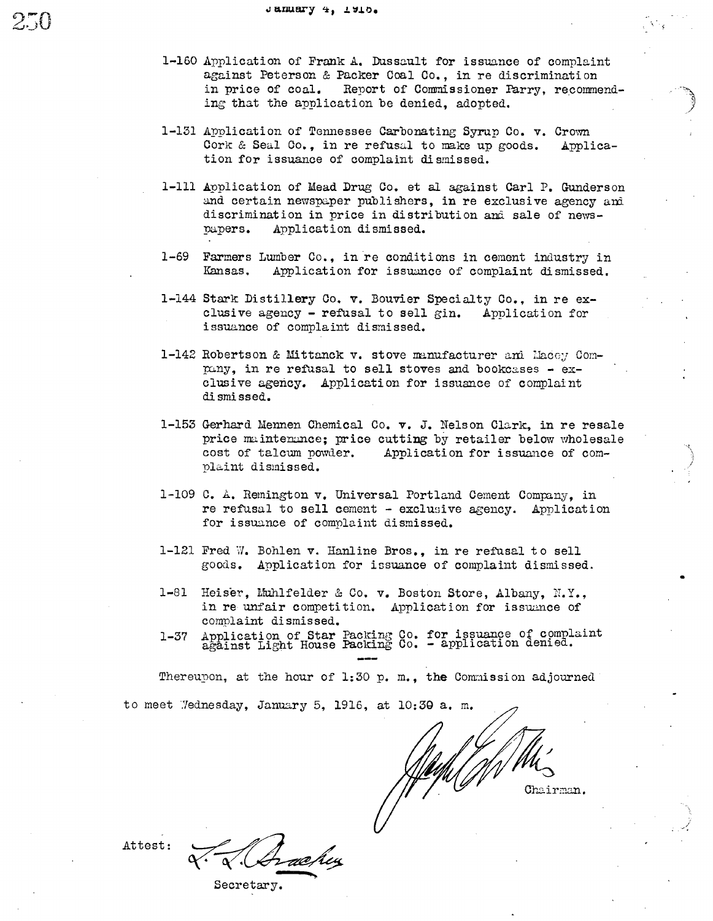- 1-160 Application of Frank A. Dussault for issuance of complaint against Peterson & Packer Coal Co., in re discrimination in price of coal. Report of Commissioner Parry, recommending that the application be denied, adopted.
- 1-131 Application of Tennessee Carbonating Syrup Co. v. Crown Cork & Seal Co., in re refusal to make up goods. Application for issuance of complaint dismissed.
- 1-111 Application of Mead Drug Co. et al against Carl P. Gunderson and certain newspaper publishers, in re exclusive agency and discrimination in price in distribution and sale of newspapers. Application dismissed.
- 1-69 Farmers Lumber Co., in re conditions in cement industry in Kansas. Application for issuance of complaint dismissed.
- 1-144 Stark Distillery Co. v. Bouvier Specialty Co., in re exclusive agency - refusal to sell gin. Application for issuance of complaint dismissed.
- 1-142 Robertson & Mittanck v. stove manufacturer and Macey Company, in re refusal to sell stoves and bookcases - exclusive agency. Application for issuance of complaint dismissed.
- 1-153 Gerhard Mennen Chemical Co. v. J. Nelson Clark, in re resale price maintenance; price cutting by retailer below wholesale cost of talcum powder. Application for issuance of complaint dismissed.
- 1-109 C. A. Remington v. Universal Portland Cement Company, in re refusal to sell cement - exclusive agency. Application for issuance of complaint dismissed.
- 1-121 Fred W. Bohlen v. Hanline Bros., in re refusal to sell goods. Application for issuance of complaint dismissed.
- Heiser. Muhlfelder & Co. v. Boston Store, Albany. N.Y..  $1 - 81$ in re unfair competition. Application for issuance of complaint dismissed.
- Application of Star Packing Co. for issuance of complaint against Light House Packing Co. application denied.  $1 - 37$

Thereupon, at the hour of 1:30 p. m., the Commission adjourned

to meet Wednesday, January 5, 1916, at 10:30 a.m.

Chairman.

Attest:

Secretary.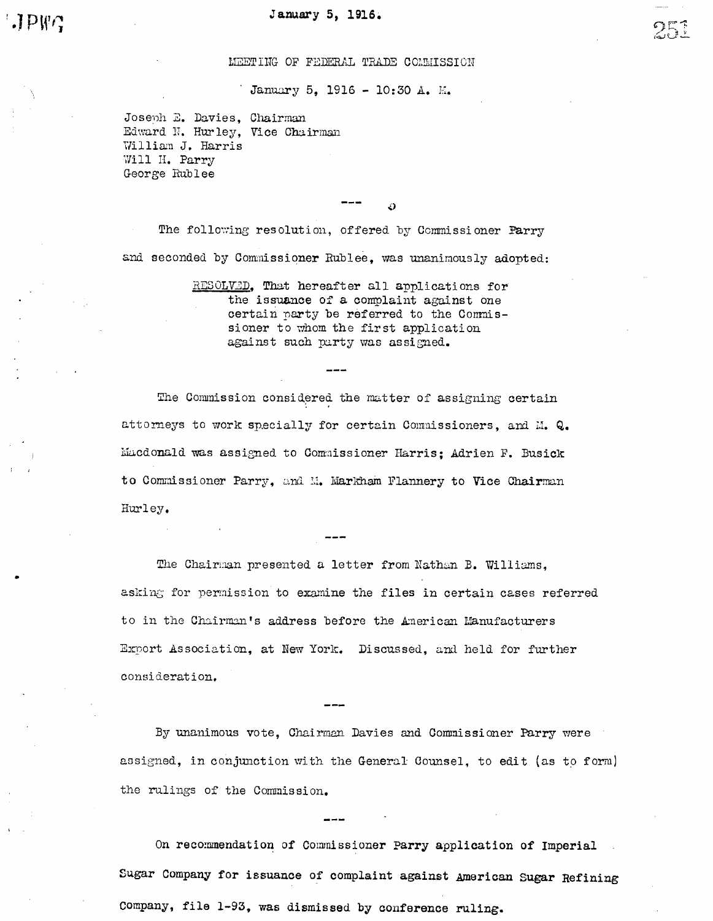#### MEETING OF FEDERAL TRADE COMMISSION

January 5, 1916 - 10:30 A. M.

Joseph E. Davies, Chairman Edward N. Hurley, Vice Chairman William J. Harris Will H. Parry George Rublee

The following resolution, offered by Commissioner Parry and seconded by Commissioner Rublee, was unanimously adopted:

> RESOLVED, That hereafter all applications for the issuance of a complaint against one certain party be referred to the Commissioner to whom the first application against such party was assigned.

25

The Commission considered the matter of assigning certain attorneys to work specially for certain Commissioners, and M. Q. Macdonald was assigned to Commissioner Harris; Adrien F. Busick to Commissioner Parry, and M. Markham Flannery to Vice Chairman Hurley.

The Chairman presented a letter from Nathan B. Williams, asking for permission to examine the files in certain cases referred to in the Chairman's address before the American Manufacturers Export Association, at New York. Discussed, and held for further consideration.

By unanimous vote, Chairman Davies and Commissioner Parry were assigned, in conjunction with the General Counsel, to edit (as to form) the rulings of the Commission.

On recommendation of Commissioner Parry application of Imperial Sugar Company for issuance of complaint against American Sugar Refining Company, file 1-93, was dismissed by conference ruling.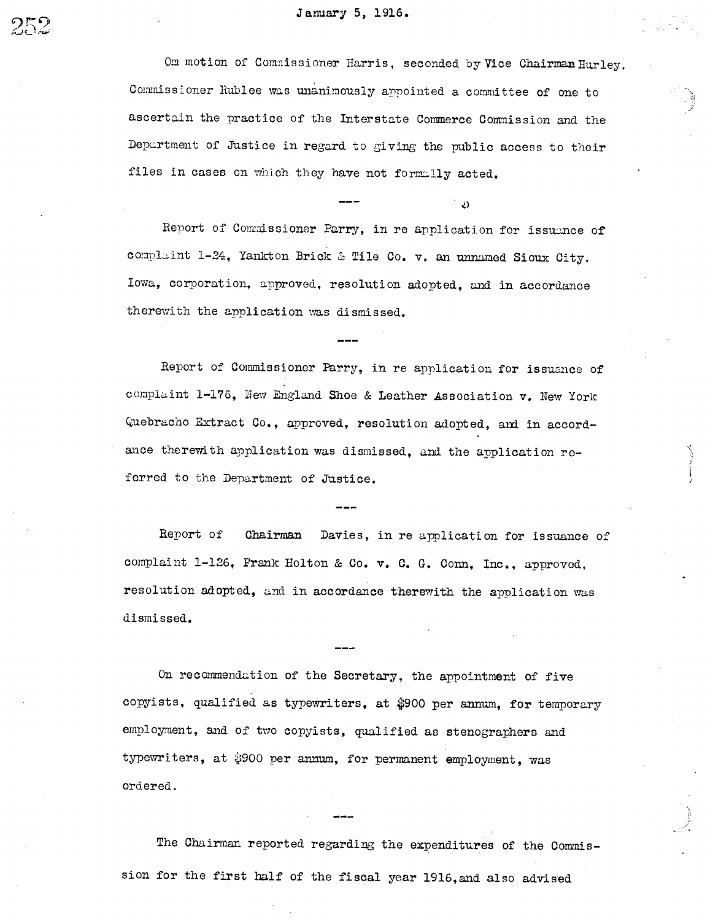### January 5, 1916.

Om motion of Commissioner Harris, seconded by Vice Chairman Hurley. Commissioner Rublee was unanimously appointed a committee of one to ascertain the practice of the Interstate Commerce Commission and the Department of Justice in regard to giving the public access to their files in cases on which they have not formally acted.

لأل

Report of Commissioner Parry, in re application for issuance of complaint 1-24, Yankton Brick & Tile Co. v. an unnamed Sioux City, Iowa, corporation, approved, resolution adopted, and in accordance therewith the application was dismissed.

Report of Commissioner Parry, in re application for issuance of complaint 1-176, New England Shoe & Leather Association v. New York Quebracho Extract Co., approved, resolution adopted, and in accordance therewith application was dismissed, and the application referred to the Department of Justice.

Report of Chairman Davies, in re application for issuance of complaint 1-126, Frank Holton & Co. v. C. G. Conn, Inc., approved, resolution adopted, and in accordance therewith the application was dismissed.

On recommendation of the Secretary, the appointment of five copyists, qualified as typewriters, at \$900 per annum, for temporary employment, and of two copyists, qualified as stenographers and typewriters, at \$900 per annum, for permanent employment, was ordered.

The Chairman reported regarding the expenditures of the Commission for the first half of the fiscal year 1916, and also advised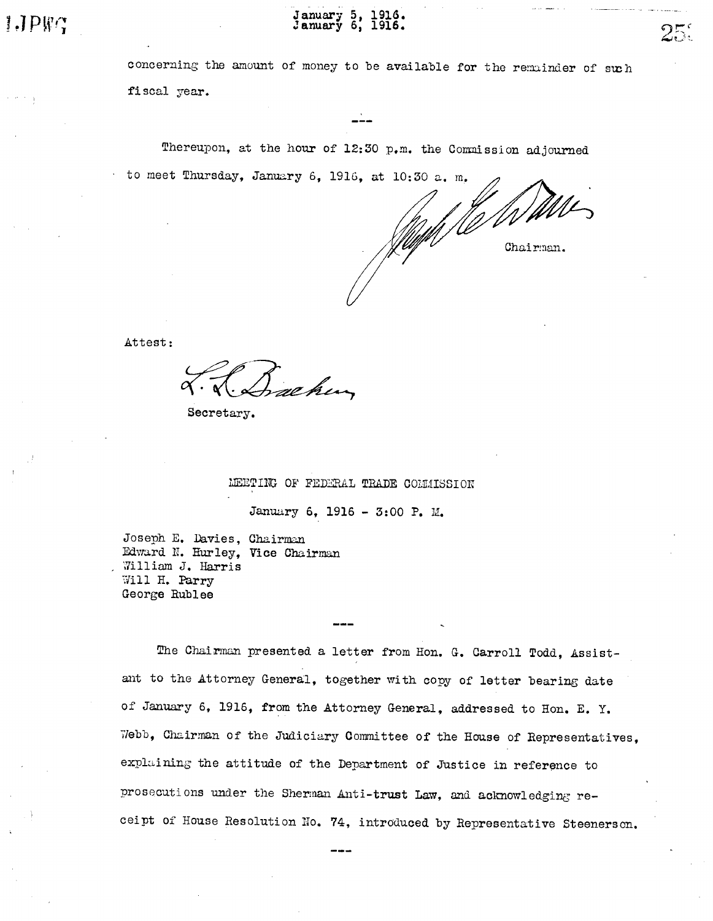January 5,<br>January 6, **I9I6.** 

concerning the amount of money to be available for the remainder of such fiscal year.

Thereupon, at the hour of 12:30 p.m. the Commission adjourned to meet Thursday, January 6, 1916, at 10:30 a. m.

Chairman.

つこ

Attest:

re hen

Secretary.

MEETING OF FEDERAL TRADE COMMISSION

January 6, 1916 - 3:00 P. M.

Joseph E. Davies, Chairman Edward N. Hurley, Vice Chairman William J. Harris Will H. Parry George Rublee

The Chairman presented a letter from Hon. G. Carroll Todd, Assistant to the Attorney General, together with copy of letter bearing date of January 6, 1916, from the Attorney General, addressed to Hon. E. Y. Webb, Chairman of the Judiciary Committee of the House of Representatives, explaining the attitude of the Department of Justice in reference to prosecutions under the Sherman Anti-trust Law, and acknowledging receipt of House Resolution No. 74, introduced by Representative Steenerson.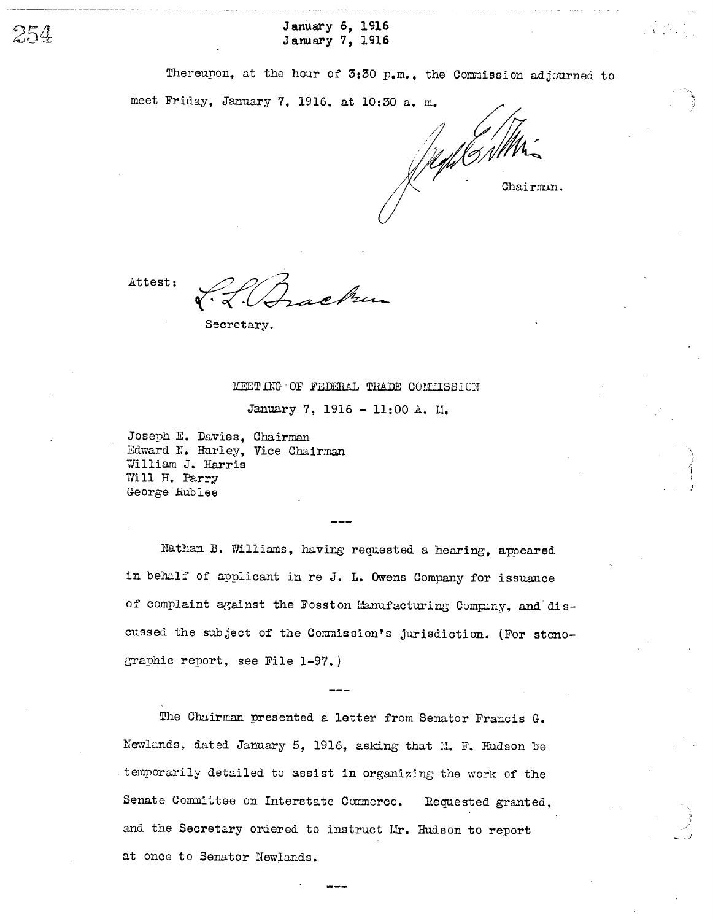January 6, 1916 January 7, 1916

Thereupon, at the hour of  $3:30$  p.m., the Commission adjourned to

meet Friday, January 7, 1916, at 10:30 a. m.

Jegh GNMM

Attest:

254

Secretary.

#### MEET ING OF FEDERAL TRADE COMMISSION

January 7, 1916 - 11:00 A. II.

Joseph E. Davies, Chairman William J. Harris Will H. Parry George Rub lee Edward N. Hurley, Vice Chairman

Nathan B. Williams, having requested a hearing, appeared in behalf of applicant in re J. L. Owens Company for issuance of complaint against the Fosston Manufacturing Company, and discussed the subject of the Commission's jurisdiction. (For stenographic report, see File 1-97.

The Chairman presented a letter from Senator Francis G. Newlands, dated January 5, 1916, asking that M. F. Hudson be temporarily detailed to assist in organizing the work of the Senate Committee on Interstate Commerce. Requested granted. and the Secretary ordered to instruct Mr. Hudson to report at once to Senator Newlands.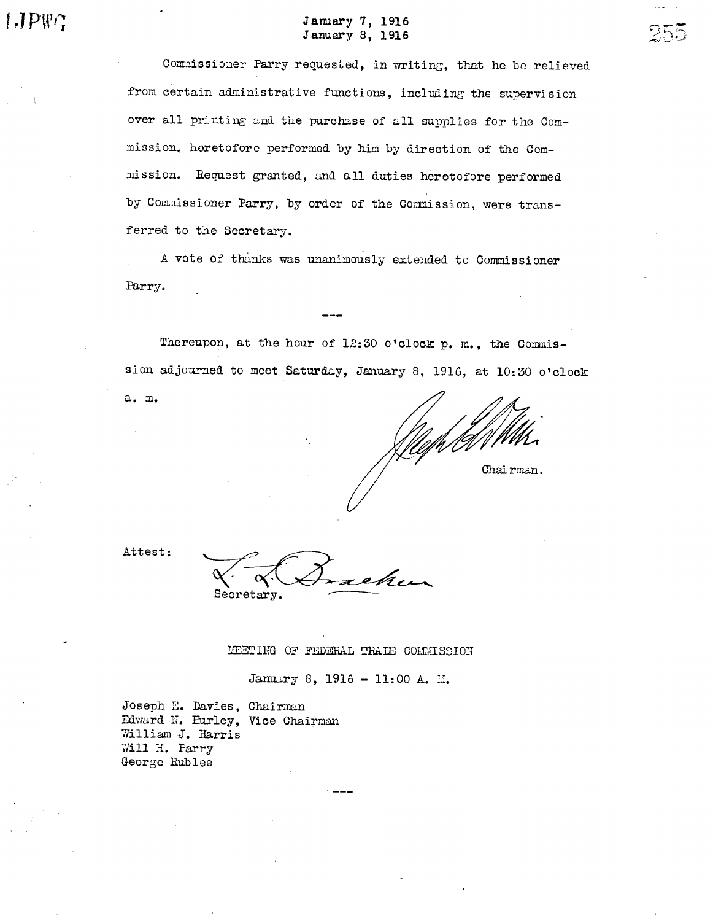# January 7, 1916 January 8, 1916

Commissioner Parry requested, in writing, that he be relieved from certain administrative functions, including the supervision over all printing and the purchase of all supplies for the Commission, heretofore performed by him by direction of the Commission. Request granted, and all duties heretofore performed by Commissioner Parry, by order of the Commission, were transferred to the Secretary.

A vote of thanks was unanimously extended to Commissioner Parry.

Thereupon, at the hour of 12:30 o'clock p. m., the Commission adjourned to meet Saturday, January 8, 1916, at 10:30 o'clock

Chairman.

255

Attest:

a. m.

Secretary.

MEETING OF FEDERAL TRAIE COMMISSION

January 8, 1916 - 11:00 A. M.

Joseph E. Davies, Chairman William J. Harris Will H. Parry George Rublee Edward N. Hurley, Vice Chairman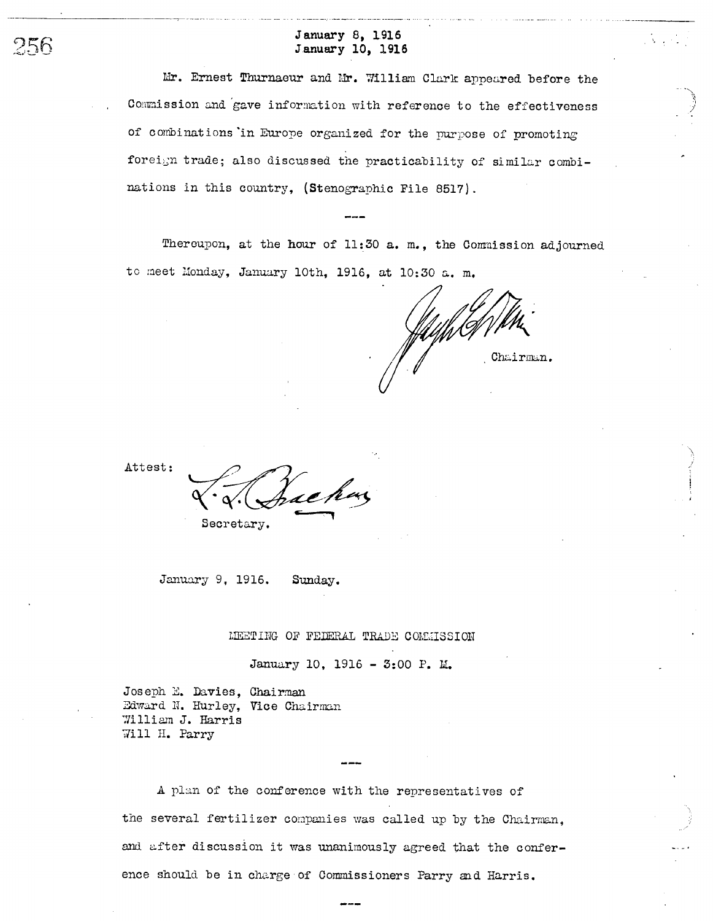# January 8, 1916 January 10, 1916

Mr. Ernest Thurnaeur and Mr. William Clark appeared before the Commission and gave information with reference to the effectiveness of combinations in Europe organized for the purpose of promoting foreign trade; also discussed the practicability of similar combinations in this country, (Stenographic File 8517).

Thereupon, at the hour of 11:30 a. m., the Commission adjourned to meet Monday, January 10th, 1916, at 10:30 a. m.

Chairman.

Attest:

256

Secretary.

January 9, 1916. Sunday.

MEETING OF FEDERAL TRADE COMMISSION

January 10, 1916 - 3:00 P. M.

Joseph E. Davies, Chairman Edward N. Hurley, Vice Chairman William J. Harris Will H. Parry

A plan of the conference with the representatives of the several fertilizer companies was called up by the Chairman. and after discussion it was unanimously agreed that the conference should be in charge of Commissioners Parry and Harris.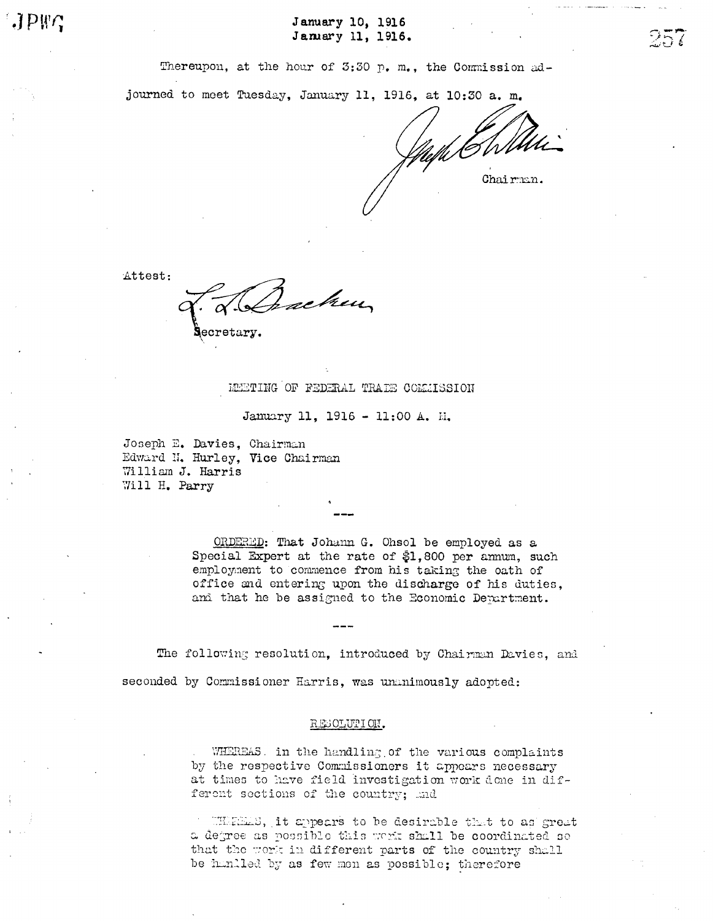January 10, 1916 January 11, 1916.

Thereupon, at the hour of 3:30 p. m., the Commission ad-

journed to meet Tuesday, January 11, 1916, at 10:30 a. m.

Chairman.

Attest:

schen ecretary

### METING OF FEDERAL TRAIE COMMISSION

January 11, 1916 - 11:00 A. H.

Joseph E. Davies, Chairman Edward N. Hurley, Vice Chairman William J. Harris Will H. Parry

> ORDERED: That Johann G. Ohsol be employed as a Special Expert at the rate of \$1,800 per amum, such employment to commence from his taking the oath of office and entering upon the discharge of his duties, and that he be assigned to the Economic Department.

The following resolution, introduced by Chairman Davies, and seconded by Commissioner Harris, was unanimously adopted:

### RESOLUTION.

WHEREAS. in the handling of the various complaints by the respective Commissioners it appears necessary at times to have field investigation work done in different sections of the country; and

WHERES, it appears to be desirable that to as great a degree as possible this work shall be coordinated so that the work in different parts of the country shall be hunlled by as few men as possible; therefore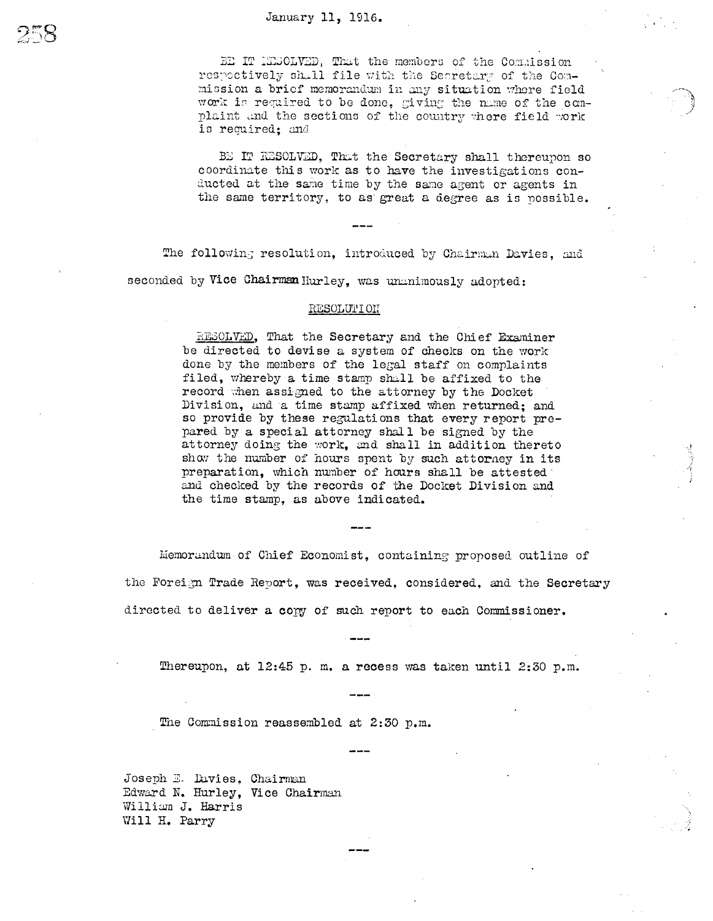### January 11, 1916.

BE IT KESCLVED, That the members of the Commission respectively shall file with the Secretary of the Conmission a brief memorandum in any situation where field work is required to be done. giving the name of the conplaint and the sections of the country where field work is required: and

BE IT RESOLVED, That the Secretary shall thereupon so coordinate this work as to have the investigations conducted at the same time by the same agent or agents in the same territory, to as great a degree as is possible.

The following resolution, introduced by Chairman Davies, and seconded by Vice Chairman Hurley, was ununimously adopted:

#### RESOLUTION

RESOLVED, That the Secretary and the Chief Examiner be directed to devise a system of checks on the work done by the members of the legal staff on complaints filed, whereby a time stamp shall be affixed to the record when assigned to the attorney by the Docket Division, and a time stamp affixed when returned; and so provide by these regulations that every report prepared by a special attorney shall be signed by the attorney doing the work, and shall in addition thereto show the number of hours spent by such attorney in its preparation, which number of hours shall be attested and checked by the records of the Docket Division and the time stamp, as above indicated.

Memorandum of Chief Economist, containing proposed outline of the Foreign Trade Report, was received, considered, and the Secretary directed to deliver a copy of such report to each Commissioner.

Thereupon, at 12:45 p.m. a recess was taken until 2:30 p.m.

The Commission reassembled at 2:30 p.m.

Joseph E. Davies, Chairman Edward N. Hurley, Vice Chairman William J. Harris Will H. Parry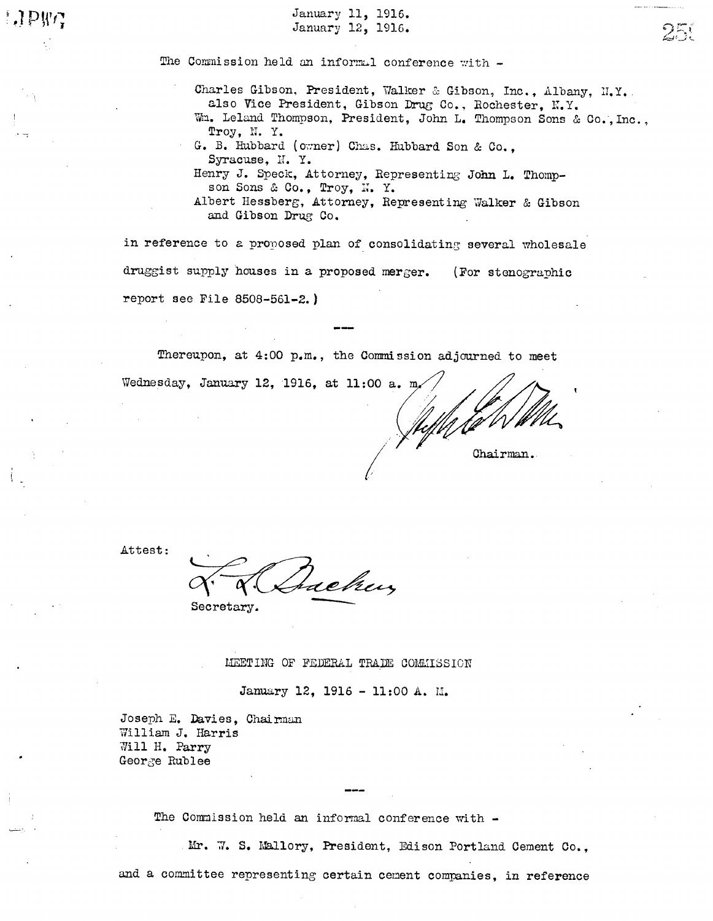January 11, 1916. January 12, 1916.

The Commission held an informal conference with -

Charles Gibson, President, Walker & Gibson, Inc., Albany, H.Y. also Vice President, Gibson Drug Co., Rochester, N.Y. Wm. Leland Thompson, President, John L. Thompson Sons & Co. Inc.

Troy, n. Y.

250

G. B. Hubbard (owner) Chas. Hubbard Son & Co., Syracuse, N.Y.

Henry J. Speck, Attorney, Representing John L. Thompson Sons & Co., Troy, N. Y.

Albert Hessberg, Attorney, Representing Walker & Gibson and Gibson Drug Co.

in reference to a proposed plan of consolidating several wholesale druggist supply houses in a proposed merger. (For stenographic report see File 8508-561-2. )

Thereupon, at 4:00 p.m., the Commission adjourned to meet

Wednesday, January 12, 1916, at 11:00 a. m. Chairman.

Attest:

Jackey

Secretary.

MEETING OF FEDERAL TRADE COMMISSION

January 12, 1916 - 11:00 A. M.

Joseph E. Davies, Chairman William J. Harris Jill H. Parry GeorGe Rublee

The Commission held an informal conference with -

Mr. W. S. Mallory, President, Edison Portland Cement Co.,

and a committee representing certain cement companies, in reference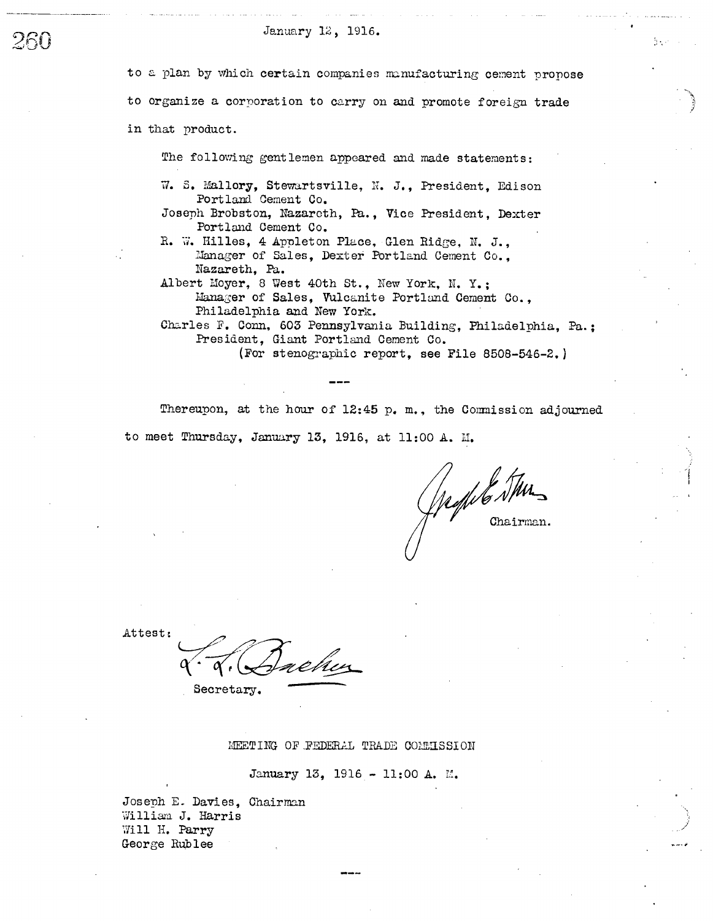### January 12, 1916.

ントロ

to a plan by which certain companies manufacturing cement propose to organize a corporation to carry on and promote foreign trade in that product.

The following gentlemen appeared and made statements:

- W. S. Mallory, Stewartsville, N. J., President, Edison Portland Cement Co.
- Joseph Brobston, Nazareth, Pa., Vice President, Dexter Portland Cement Co.
- R. W. Hilles, 4 Appleton Place, Glen Ridge, N. J., Manager of Sales, Dexter Portland Cement Co., Nazareth, Pa.
- Albert Moyer, 8 West 40th St., New York, N. Y.; Manager of Sales, Vulcanite Portland Cement Co., Philadelphia and New York.

Charles F. Conn, 603 Pennsylvania Building, Philadelphia, Pa.: President. Giant Portland Cement Co.

(For stenographic report, see File 8508-546-2.)

Thereupon, at the hour of 12:45 p.m., the Commission adjourned to meet Thursday, January 13, 1916, at 11:00 A. M.

Jachte Stur

Attest:

ehez

Secretary.

MEETING OF FEDERAL TRADE COMMISSION

January 13, 1916 - 11:00 A. M.

Joseph E. Davies, Chairman William J. Harris Will H. Parry George Rublee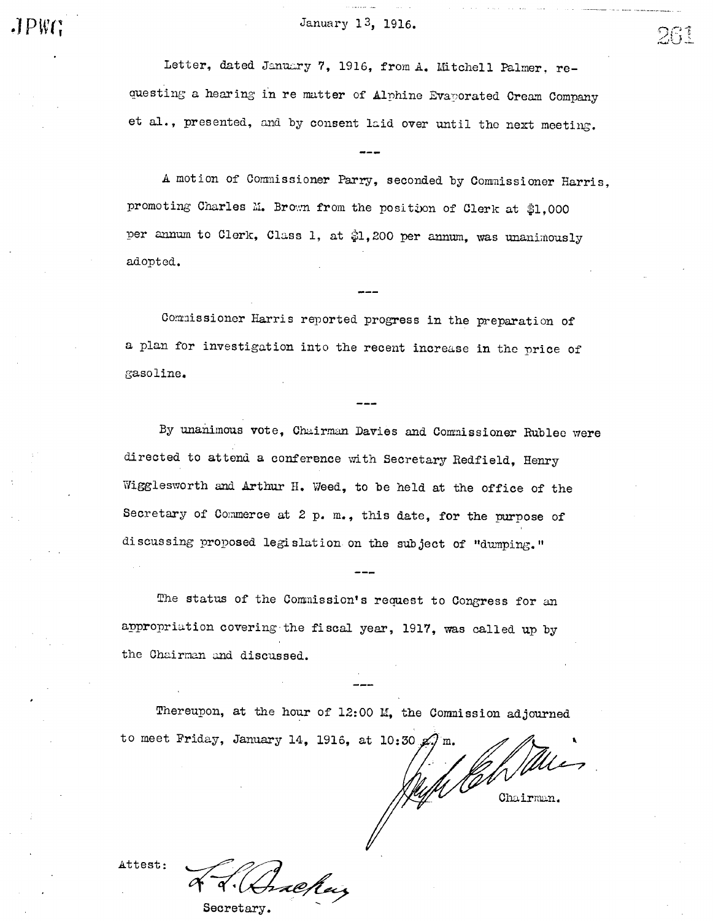January 13, 1916.  $26$ 

Letter, dated January 7, 1916, from A. Mitchell Palmer, requesting a hearing in re matter of Alphine Evaporated Cream Company et al., presented, and by consent laid over until the next meeting.

A motion Of Comnissioner Parry, seconded by Comnissioner Harris promoting Charles M. Brown from the position of Clerk at \$1,000 per annum to Clerk, Class 1, at \$1,200 per annum, was unanimously adopted.

Commissioner Harris reported progress in the preparation of a plan for investigation into the recent increase in thc price of gasoline.

By unanimous vote, Chairman Davies and Commissioner Rublec were directed to attend a conference with Secretary Redfield, Henry Wigglesworth and Arthur H. Weed, to be held at the office of the Secretary of Commerce at  $2$  p. m., this date, for the purpose of discussing proposed legislation on the subject of "dumping."

The status of the Commission's request to Congress for an appropriation covering the fiscal year, 1917, was called up by the Chairman and discussed.

Thereupon, at the hour of 12:00 M, the Commission adjourned to meet Friday, January 14, 1916, at 10:30  $\alpha$ .

With like

Attest:

æhar Secretary.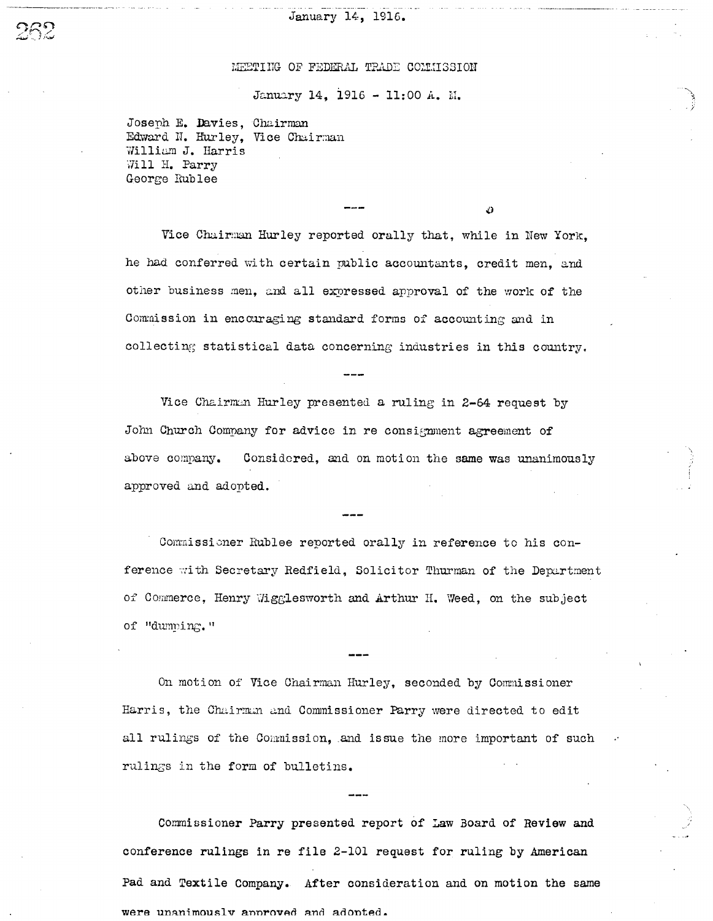## January 14, 1916.

## MEETING OF FEDERAL TRADE COMMISSION

January 14, 1916 - 11:00 A. M.

Joseph E. Davies, Chairman Edward N. Hurley, Vice Chairman William J. Harris Will H. Parry George Rublee

Vice Chairman Hurley reported orally that, while in New York, he had conferred with certain public accountants, credit men, and other business men, and all expressed approval of the work of the Commission in encouraging standard forms of accounting and in collecting statistical data concerning industries in this country.

D

Vice Chairman Hurley presented a ruling in 2-64 request by John Church Company for advice in re consignment agreement of above company. Considered, and on motion the same was unanimously approved and adopted.

Commissioner Rublee reported orally in reference to his conference with Secretary Redfield, Solicitor Thurman of the Department of Commerce, Henry Wigglesworth and Arthur H. Weed, on the subject of "dumping."

On motion of Vice Chairman Hurley, seconded by Commissioner Harris, the Chairman and Commissioner Parry were directed to edit all rulings of the Commission, and issue the more important of such rulings in the form of bulletins.

Commissioner Parry presented report of Law Board of Review and conference rulings in re file 2-101 request for ruling by American Pad and Textile Company. After consideration and on motion the same were unanimously approved and adopted.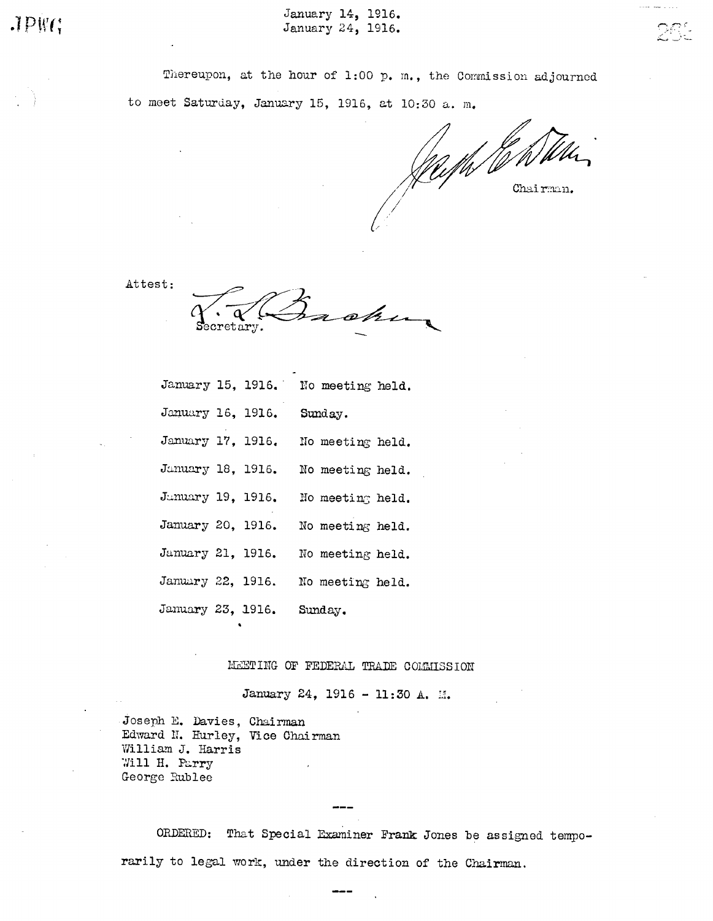January 14, 1916. January 24, 1916.

Thereupon, at the hour of 1:00 p. m., the Commission adjourned to meet Saturday, January 15, 1916, at 10:30 a. m.

Chairman.

Attest:

ohu  ${\tt retary}.$ 

|                   |                   | January 15, 1916. No meeting held. |  |
|-------------------|-------------------|------------------------------------|--|
| January 16, 1916. |                   | Sunday.                            |  |
| January 17, 1916. |                   | No meeting held.                   |  |
| January 18, 1916. |                   | No meeting held.                   |  |
|                   | Junuary 19, 1916. | No meeting held.                   |  |
| January 20, 1916. |                   | No meeting held.                   |  |
| January 21, 1916. |                   | No meeting held.                   |  |
|                   | January 22, 1916. | No meeting held.                   |  |
|                   | January 23, 1916. | Sunday.                            |  |

MEETING OF FEDERAL TRADE COMMISSION

January 24, 1916 - 11:30 A. M.

Joseph E. Davies, Chairman Edward N. Hurley, Vice Chairman William J. Harris Will H. Parry George Rublee

ORDERED: That Special Examiner Frank Jones be assigned temporarily to legal work, under the direction of the Chairman.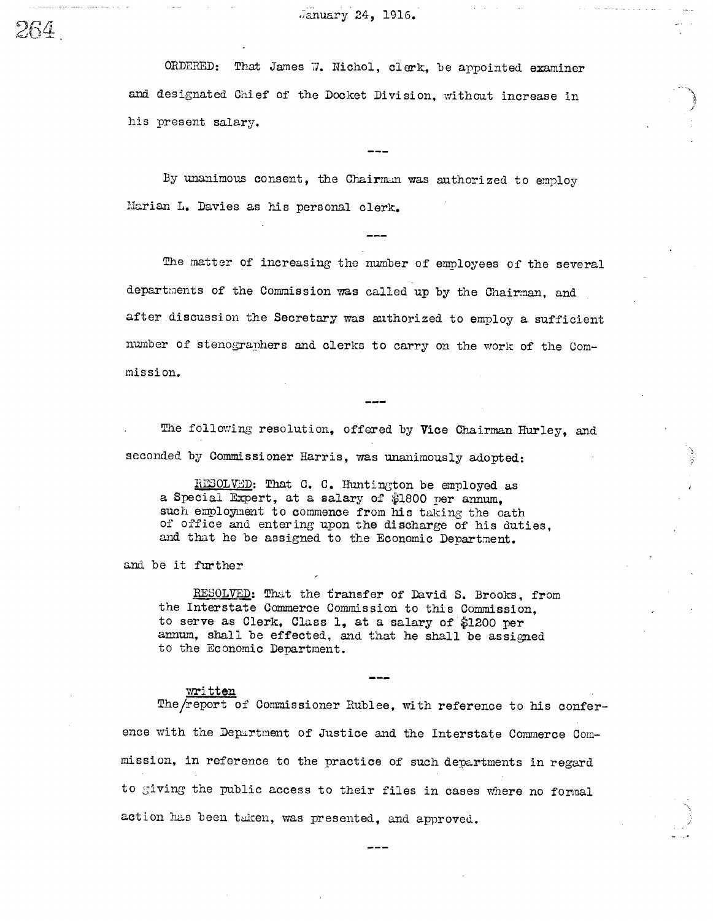January 24, 1916.

ORDERED: That James 7. Nichol, clerk, be appointed examiner and designated Chief of the Docket Division, without increase in his present salary.

By unanimous consent, the Chairman was authorized to employ Marian L. Davies as his personal clerk.

The matter of increasing the number of employees of the several departments of the Commission was called up by the Chairman, and after discussion the Secretary was authorized to employ a sufficient number of stenographers and clerks to carry on the work of the Commission.

The following resolution, offered by Vice Chairman Hurley, and seconded by Commissioner Harris, was unanimously adopted:

RESOLVED: That C. C. Huntington be employed as a Special Expert, at a salary of \$1800 per annum, such employment to commence from his taking the oath of office and entering upon the discharge of his duties, and that he be assigned to the Economic Department.

and be it further

RESOLVED: That the transfer of David S. Brooks, from the Interstate Commerce Commission to this Commission. to serve as Clerk, Class 1, at a salary of \$1200 per annum, shall be effected, and that he shall be assigned to the Economic Department.

#### wri tten

The/report of Commissioner Rublee, with reference to his conference with the Department of Justice and the Interstate Commerce Commission, in reference to the practice of such departments in regard to giving the public access to their files in cases where no formal action has been taken, was presented, and approved.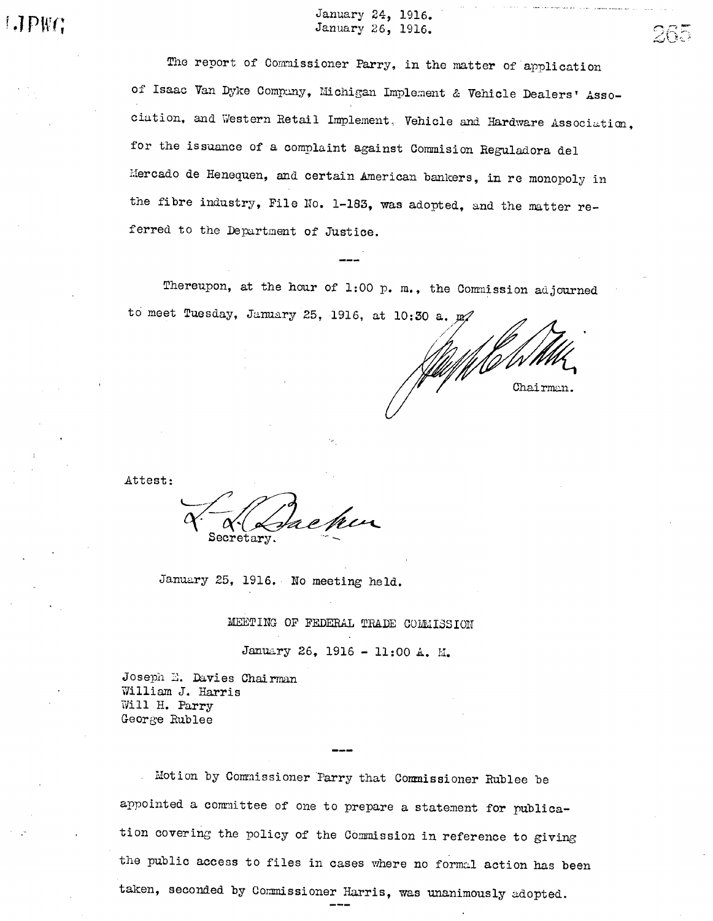January 24, 1916. January 26, 1916.

265

The report of Commissioner Parry, in the matter of application of Isaac Van Dyke Company, Michigan Implement & Vehicle Dealers' Association, and Western Retail Implement. Vehicle and Hardware Association, for the issuance of a complaint against Commision Reguladora del Mercado de Henequen, and certain American bankers, in re monopoly in the fibre industry, File No. 1-183, was adopted, and the matter referred to the Department of Justice.

Thereupon, at the hour of 1:00 p. m., the Commission adjourned to meet Tuesday, January 25, 1916, at 10:30 a. p.

Chairman.

Attest:

Secretary.

January 25, 1916. No meeting held.

MEETING OF FEDERAL TRADE COMMISSION

January 26, 1916 - 11:00 A. M.

Joseph E. Davies Chairman William J. Harris Will H. Parry George Rublee

Motion by Commissioner Parry that Commissioner Rublee be appointed a committee of one to prepare a statement for publication covering the policy of the Commission in reference to giving the public access to files in cases where no formal action has been taken, seconded by Commissioner Harris, was unanimously adopted.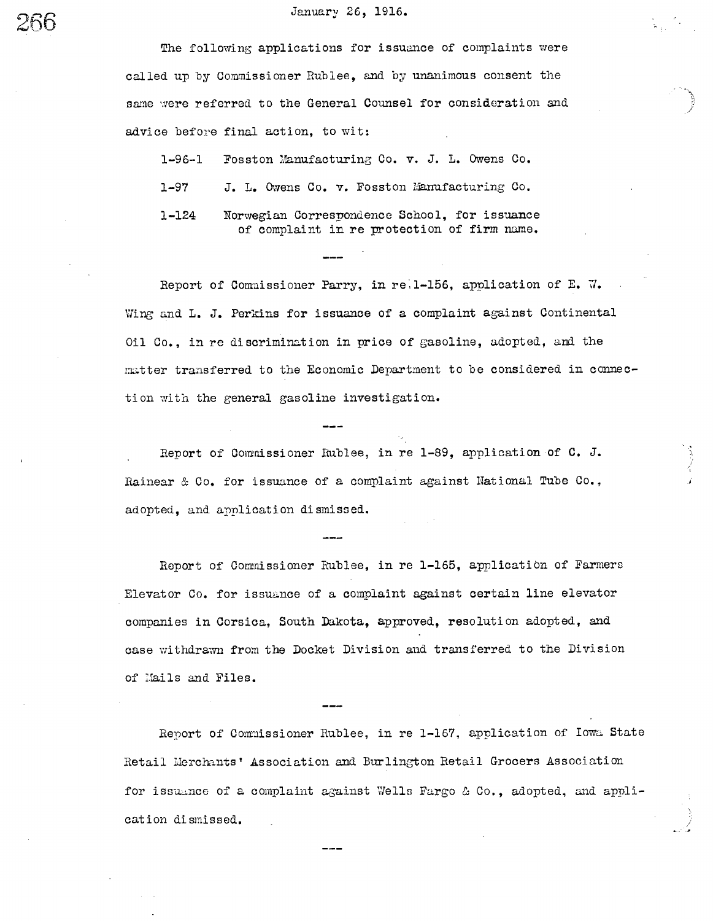# January 26, 1916.

The following applications for issuance of complaints were called up by Commissioner Rublee, and by unanimous consent the same were referred to the General Counsel for consideration and advice before final action, to wit:

1-96-1 Fosston Manufacturing Co. v. J. L. Owens Co.

J. L. Owens Co. v. Fosston Manufacturing Co.  $1 - 97$ 

1-124 Norwegian Correspondence School, for issuance of complaint in re protection of firm name.

Report of Commissioner Parry, in re; 1-156, application of E. W. Wing and L. J. Perkins for issuance of a complaint against Continental Oil Co., in re discrimination in price of gasoline, adopted, and the matter transferred to the Economic Department to be considered in connection with the general gasoline investigation.

Report of Commissioner Rublee, in re 1-89, application of C. J. Rainear & Co. for issuance of a complaint against National Tube Co., adopted, and application dismissed.

Report of Commissioner Rublee, in re 1-165, application of Farmers Elevator Co. for issuance of a complaint against certain line elevator companies in Corsica, South Dakota, approved, resolution adopted, and case withdrawn from the Docket Division and transferred to the Division of Mails and Files.

Report of Commissioner Rublee, in re 1-167, application of Iowa State Retail Merchants' Association and Burlington Retail Grocers Association for issuance of a complaint against Wells Fargo & Co., adopted, and application dismissed.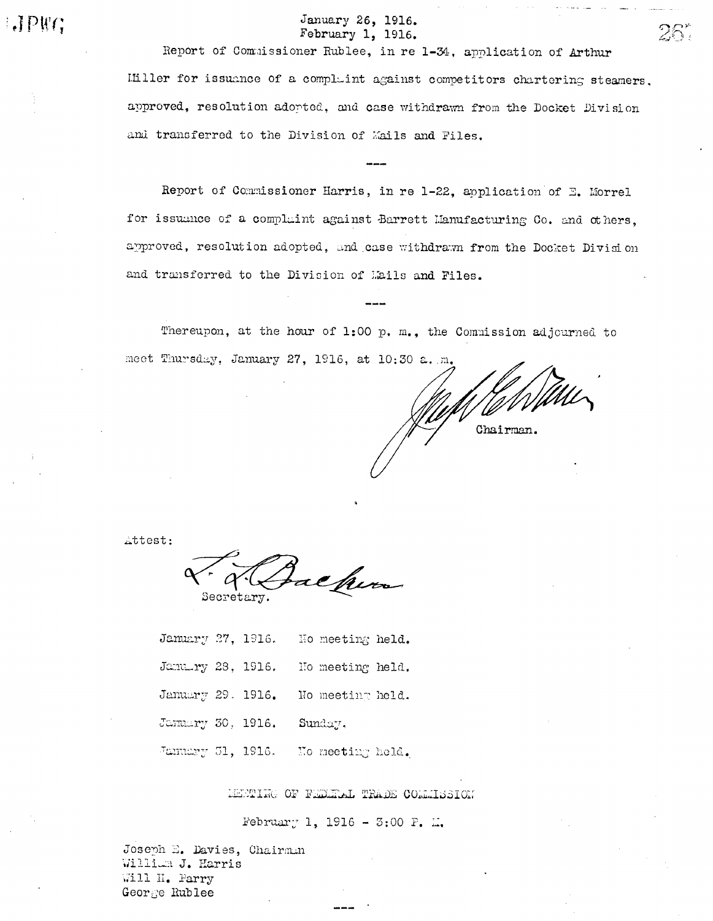# January 26, 1916. February 1, 1916.

Report of Commissioner Rublee, in re 1-34, application of Arthur Ifiller for issuance of a complaint against competitors chartering steamers. approved, resolution adopted, and case withdrawn from the Docket Division and transferred to the Division of Mails and Files.

Report of Commissioner Harris, in re 1-22, application of E. Morrel for issuance of a complaint against Barrett Hanufacturing Co. and others. approved, resolution adopted, and case withdrawn from the Docket Division and transferred to the Division of Mails and Files.

Thereupon, at the hour of 1:00 p. m., the Commission adjourned to meet Thursday, January 27, 1916, at 10:30 a. m.

Chairman.

28

Attest:

 $\Box P$ 

achum Secretary.

January 27, 1916. No meeting held. January 28, 1916. Ho meeting held. January 29. 1916. No meeting held. January 30, 1916. Sunday. January 31, 1916. Mo meeting held.

MEMPING OF FEDERAL TRADE CORRIDSION

February 1, 1916 - 3:00 P. L.

Joseph E. Davies, Chairmun William J. Harris Will H. Parry George Rublee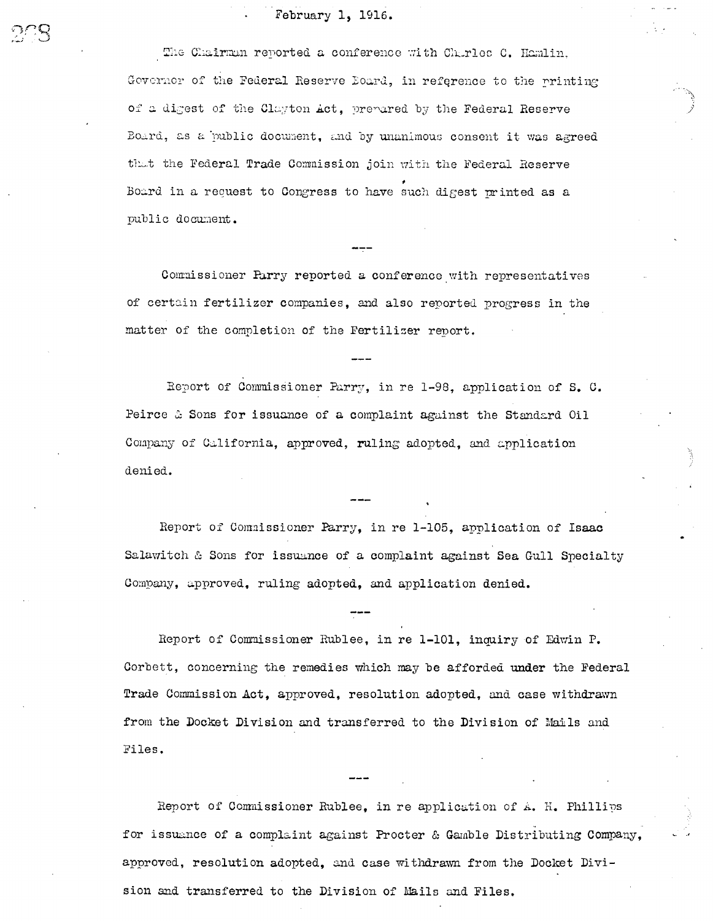# February 1, 1916.

The Chairman reported a conference with Charles C. Hamlin, Governor of the Federal Reserve Board, in reference to the printing of a digest of the Clayton Act. prepared by the Federal Reserve Board, as a public document, and by unanimous consent it was agreed that the Federal Trade Commission join with the Federal Reserve Board in a request to Congress to have such digest printed as a public document.

Commissioner Parry reported a conference with representatives of certain fertilizer companies, and also reported progress in the matter of the completion of the Fertilizer report.

Report of Commissioner Parry, in re 1-98, application of S. C. Peirce & Sons for issuance of a complaint against the Standard Oil Company of California, approved, ruling adopted, and application denied.

Report of Commissioner Parry, in re 1-105, application of Isaac Salawitch & Sons for issuance of a complaint against Sea Gull Specialty Company, approved, ruling adopted, and application denied.

Report of Commissioner Rublee, in re 1-101, inquiry of Edwin P. Corbett, concerning the remedies which may be afforded under the Federal Trade Commission Act, approved, resolution adopted, and case withdrawn from the Docket Division and transferred to the Division of Mails and Files.

Report of Commissioner Rublee, in re application of A. H. Phillips for issuance of a complaint against Procter & Gamble Distributing Company, approved, resolution adopted, and case withdrawn from the Docket Division and transferred to the Division of Mails and Files.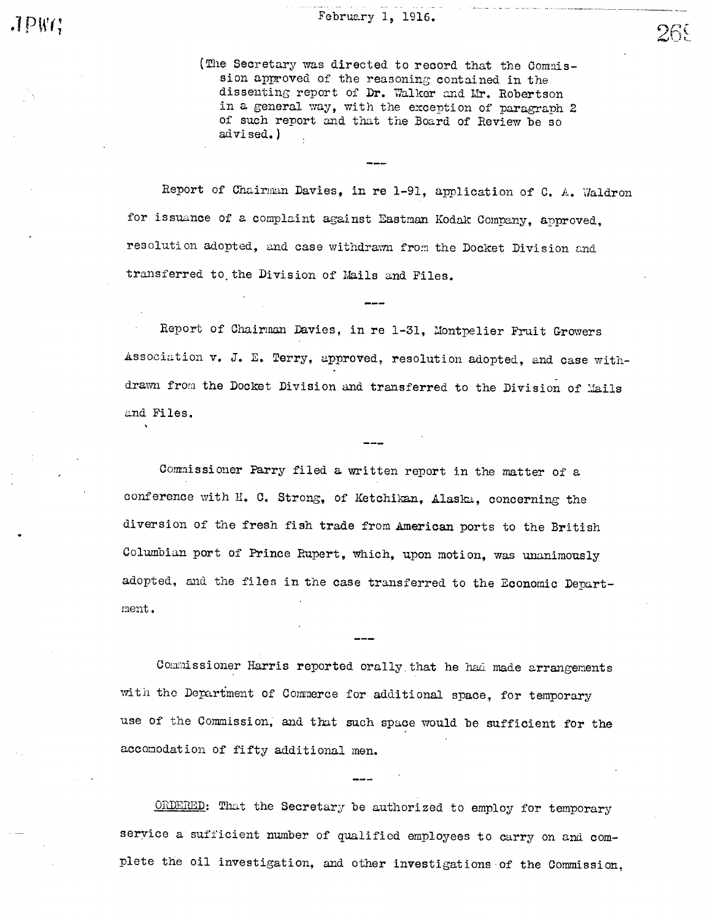(The Secretary was directed to record that the Commission approved of the reasoning contained in the dissenting report of Dr. Walker and Mr. Robertson in a general way, with the exception of paragraph 2 of such report and that the Board of Review be so ad vi sed. )

Report of Chairman Davies, in re 1-91, application of C. A. Waldron for issuance of a complaint against Eastman Kodak Company, approved, resolution adopted, and case withdrawn from the Docket Division and transferred to the Division of Mails and Files.

Report of Chairman Davies, in re 1-31, Montpelier Fruit Growers Association v. J. E. Terry, approved, resolution adopted, and case withdrawn from the Docket Division and transferred to the Division of Mails and Files.

Commissioner Parry filed a written report in the matter of a conference with H. C. Strong, of Ketchikan, Alaska, concerning the diversion of the fresh fish trade from American ports to the British Columbian port of Prince Rupert, which, upon motion, was unanimously adopted, and the files in the case transferred to the Economic Department.

Commissioner Harris reported orally that he had made arrangements with the Department of Commerce for additional space, for temporary use of the Commission, and that such space would be sufficient for the accomodation of fifty additional men.

ORDERED: That the Secretary be authorized to employ for temporary service a sufficient number of qualified employees to carry on and complete the oil investigation, and other investigations of the Commission,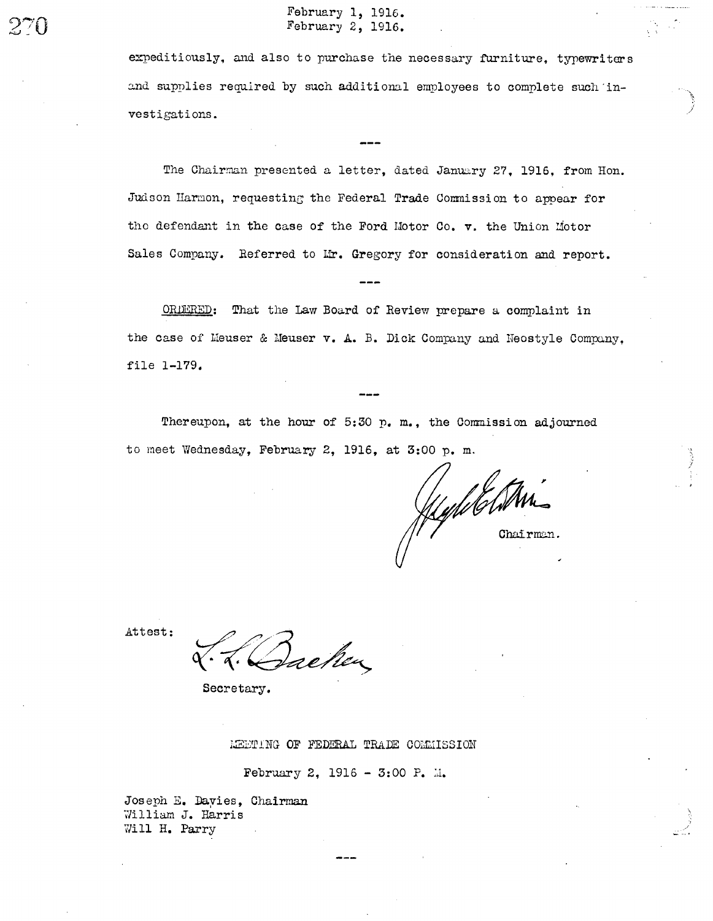expeditiously, and also to purchase the necessary furniture. typewriters and supplies required by such additional employees to complete such investigations.

The Chairman presented a letter, dated January 27, 1916, from Hon. Judson Harmon, requesting the Federal Trade Commission to appear for the defendant in the case of the Ford Motor Co. v. the Union Motor Sales Company. Referred to Mr. Gregory for consideration and report.

That the Law Board of Review prepare a complaint in ORDERED: the case of Meuser & Meuser v. A. B. Dick Company and Neostyle Company. file 1-179.

Thereupon, at the hour of 5:30 p. m., the Commission adjourned to meet Wednesday, February 2, 1916, at 3:00 p.m.

Hydd Ar Chairman.

Attest:

reken

Secretary.

MEETING OF FEDERAL TRADE COMMISSION

February 2, 1916 - 3:00 P. M.

Joseph E. Dayies, Chairman William J. Harris Will H. Parry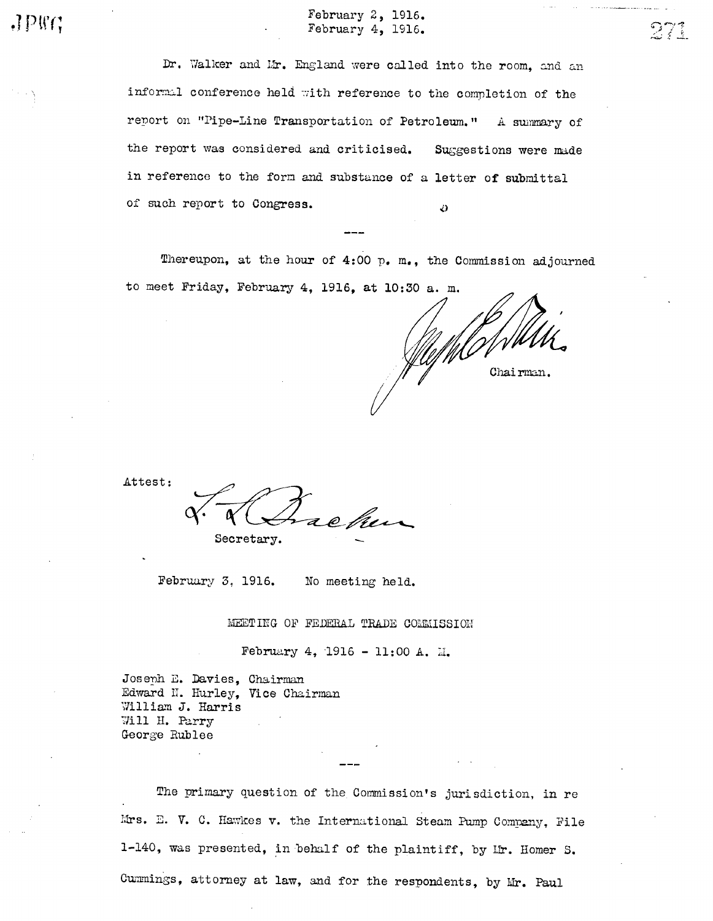Dr. Walker and Mr. England were called into the room, and an informal conference held with reference to the completion of the report on "Pipe-Line Transportation of Petroleum." A summary of the report was considered and criticised. Suggestions were made in reference to the form and substance of a letter of submittal of such report to Congress. Ø

Thereupon, at the hour of 4:00 p. m., the Commission adjourned to meet Friday, February 4, 1916. at 10:30 a. m.

Chairman.

Attest:

 $JPRG$ 

Secretary.

February 3, 1916. No meeting held.

MEETING OF FEDERAL TRADE COMMISSION

February 4, 1916 - 11:00 A. M.

Joseph E. Davies, Chairman Edward N. Hurley, Vice Chairman William J. Harris Will H. Parry George Rublee

The primary question of the Commission's jurisdiction, in re Mrs. E. V. C. Hawkes v. the International Steam Pump Company, File 1-140, was presented, in behalf of the plaintiff, by Mr. Homer S. Cummings, attorney at law, and for the respondents, by Mr. Paul

 $273$